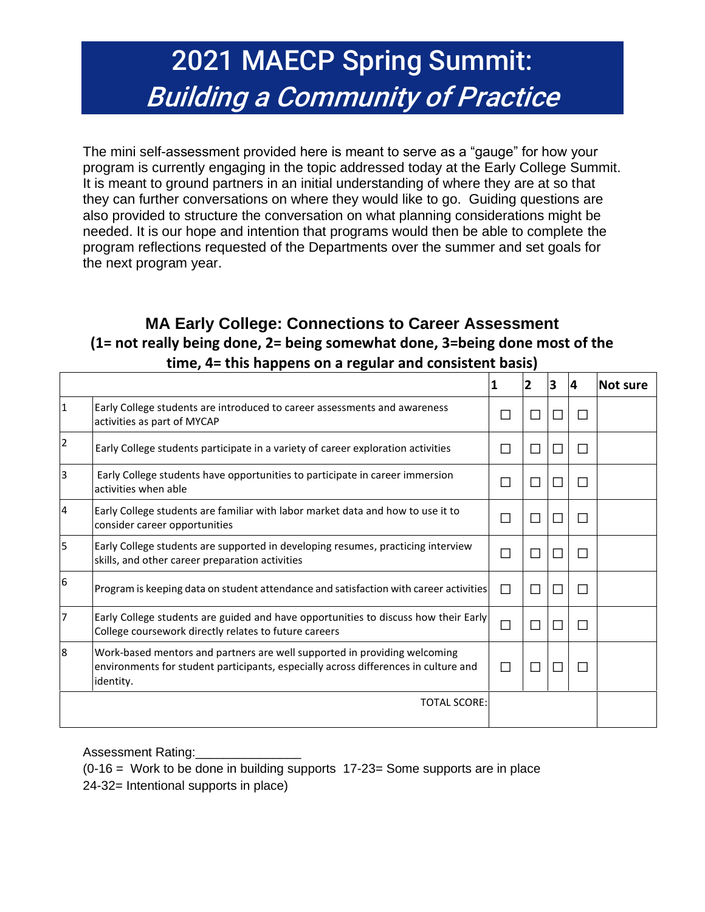## 2021 MAECP Spring Summit: Building a Community of Practice

The mini self-assessment provided here is meant to serve as a "gauge" for how your program is currently engaging in the topic addressed today at the Early College Summit. It is meant to ground partners in an initial understanding of where they are at so that they can further conversations on where they would like to go. Guiding questions are also provided to structure the conversation on what planning considerations might be needed. It is our hope and intention that programs would then be able to complete the program reflections requested of the Departments over the summer and set goals for the next program year.

## **MA Early College: Connections to Career Assessment (1= not really being done, 2= being somewhat done, 3=being done most of the time, 4= this happens on a regular and consistent basis)**

|   |                                                                                                                                                                               | 1            | 2                        | 3      | 4      | Not sure |
|---|-------------------------------------------------------------------------------------------------------------------------------------------------------------------------------|--------------|--------------------------|--------|--------|----------|
| 1 | Early College students are introduced to career assessments and awareness<br>activities as part of MYCAP                                                                      | $\mathsf{L}$ | $\overline{\phantom{0}}$ | П      | П      |          |
| 2 | Early College students participate in a variety of career exploration activities                                                                                              | П            | $\mathsf{L}$             | $\Box$ | П      |          |
| 3 | Early College students have opportunities to participate in career immersion<br>activities when able                                                                          | П            | H                        | П      | П      |          |
| 4 | Early College students are familiar with labor market data and how to use it to<br>consider career opportunities                                                              | П            | , 1                      | П      | П      |          |
| 5 | Early College students are supported in developing resumes, practicing interview<br>skills, and other career preparation activities                                           | П            | П                        | $\Box$ | П      |          |
| 6 | Program is keeping data on student attendance and satisfaction with career activities                                                                                         | П            | $\mathsf{L}$             | П      | П      |          |
| 7 | Early College students are guided and have opportunities to discuss how their Early<br>College coursework directly relates to future careers                                  | $\Box$       | L                        | П      | $\Box$ |          |
| 8 | Work-based mentors and partners are well supported in providing welcoming<br>environments for student participants, especially across differences in culture and<br>identity. | П            | $\mathcal{L}$            | П      | П      |          |
|   | <b>TOTAL SCORE:</b>                                                                                                                                                           |              |                          |        |        |          |

Assessment Rating:

 $(0-16)$  = Work to be done in building supports 17-23 = Some supports are in place 24-32= Intentional supports in place)